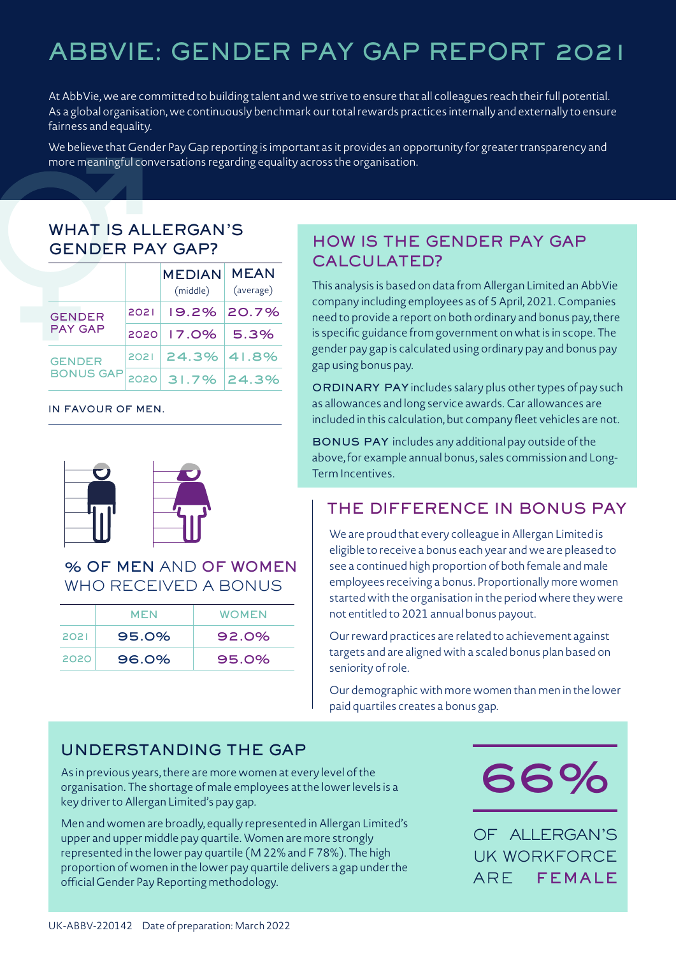# ABBVIE: GENDER PAY GAP REPORT 2021

At AbbVie, we are committed to building talent and we strive to ensure that all colleagues reach their full potential. As a global organisation, we continuously benchmark our total rewards practices internally and externally to ensure fairness and equality.

We believe that Gender Pay Gap reporting is important as it provides an opportunity for greater transparency and more meaningful conversations regarding equality across the organisation.

# WHAT IS ALLERGAN'S GENDER PAY GAP?

|                  |       | <b>MEDIAN</b><br>(middle) | <b>MEAN</b><br>(average) |
|------------------|-------|---------------------------|--------------------------|
| <b>GENDER</b>    | 2021  |                           | 19.2% 20.7%              |
| <b>PAY GAP</b>   | 2020  | $17.0\%$                  | 5.3%                     |
| <b>GENDER</b>    | 20211 | 24.3% 41.8%               |                          |
| <b>BONUS GAP</b> | 2020  | 31.7% 24.3%               |                          |

#### IN FAVOUR OF MEN.



#### % OF MEN AND OF WOMEN WHO RECEIVED A BONUS

|      | MEN   | <b>WOMEN</b> |  |
|------|-------|--------------|--|
| 2021 | 95.0% | 92.0%        |  |
| 2020 | 96.0% | 95.0%        |  |

# HOW IS THE GENDER PAY GAP CALCULATED?

This analysis is based on data from Allergan Limited an AbbVie company including employees as of 5 April, 2021. Companies need to provide a report on both ordinary and bonus pay, there is specific guidance from government on what is in scope. The gender pay gap is calculated using ordinary pay and bonus pay gap using bonus pay.

ORDINARY PAY includes salary plus other types of pay such as allowances and long service awards. Car allowances are included in this calculation, but company fleet vehicles are not.

BONUS PAY includes any additional pay outside of the above, for example annual bonus, sales commission and Long-Term Incentives.

#### THE DIFFERENCE IN BONUS PAY

We are proud that every colleague in Allergan Limited is eligible to receive a bonus each year and we are pleased to see a continued high proportion of both female and male employees receiving a bonus. Proportionally more women started with the organisation in the period where they were not entitled to 2021 annual bonus payout.

Our reward practices are related to achievement against targets and are aligned with a scaled bonus plan based on seniority of role.

Our demographic with more women than men in the lower paid quartiles creates a bonus gap.

#### UNDERSTANDING THE GAP

As in previous years, there are more women at every level of the organisation. The shortage of male employees at the lower levels is a key driver to Allergan Limited's pay gap.

Men and women are broadly, equally represented in Allergan Limited's upper and upper middle pay quartile. Women are more strongly represented in the lower pay quartile (M 22% and F 78%). The high proportion of women in the lower pay quartile delivers a gap under the official Gender Pay Reporting methodology.



OF ALLERGAN'S UK WORKFORCE ARE FEMALE